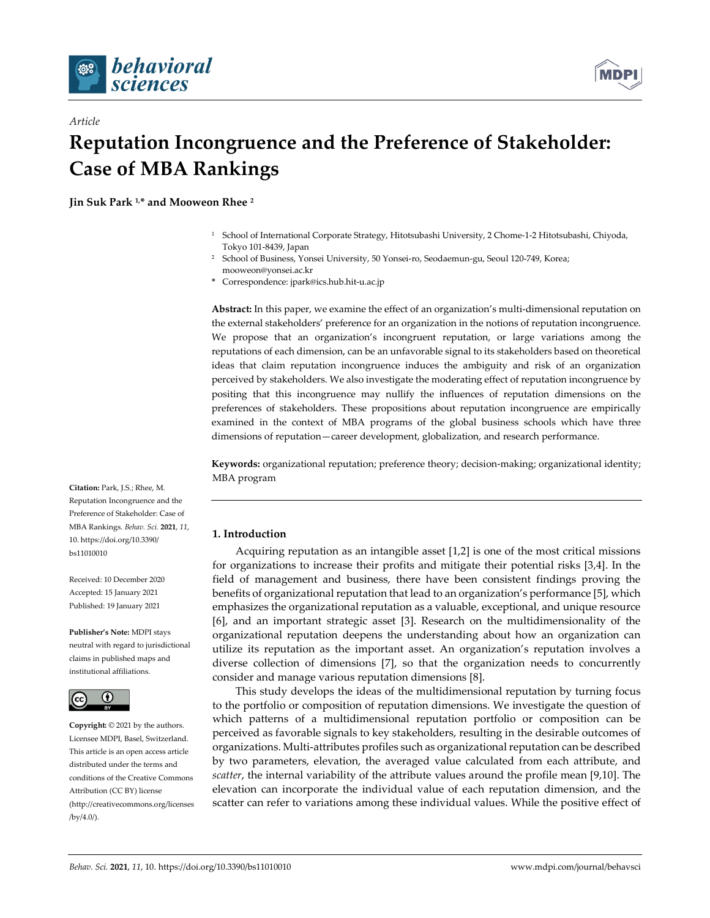

*Article*



# **Reputation Incongruence and the Preference of Stakeholder: Case of MBA Rankings**

**Jin Suk Park 1,\* and Mooweon Rhee 2**

- <sup>1</sup> School of International Corporate Strategy, Hitotsubashi University, 2 Chome-1-2 Hitotsubashi, Chiyoda, Tokyo 101-8439, Japan
- <sup>2</sup> School of Business, Yonsei University, 50 Yonsei-ro, Seodaemun-gu, Seoul 120-749, Korea; mooweon@yonsei.ac.kr
- **\*** Correspondence: jpark@ics.hub.hit-u.ac.jp

**Abstract:** In this paper, we examine the effect of an organization's multi-dimensional reputation on the external stakeholders' preference for an organization in the notions of reputation incongruence. We propose that an organization's incongruent reputation, or large variations among the reputations of each dimension, can be an unfavorable signal to its stakeholders based on theoretical ideas that claim reputation incongruence induces the ambiguity and risk of an organization perceived by stakeholders. We also investigate the moderating effect of reputation incongruence by positing that this incongruence may nullify the influences of reputation dimensions on the preferences of stakeholders. These propositions about reputation incongruence are empirically examined in the context of MBA programs of the global business schools which have three dimensions of reputation—career development, globalization, and research performance.

**Keywords:** organizational reputation; preference theory; decision-making; organizational identity; MBA program

## Preference of Stakeholder: Case of MBA Rankings. *Behav. Sci.* **2021**, *11*, 10. https://doi.org/10.3390/

Received: 10 December 2020 Accepted: 15 January 2021 Published: 19 January 2021

bs11010010

**Citation:** Park, J.S.; Rhee, M. Reputation Incongruence and the

**Publisher's Note:** MDPI stays neutral with regard to jurisdictional claims in published maps and institutional affiliations.



**Copyright:** © 2021 by the authors. Licensee MDPI, Basel, Switzerland. This article is an open access article distributed under the terms and conditions of the Creative Commons Attribution (CC BY) license (http://creativecommons.org/licenses /by/4.0/).

## **1. Introduction**

Acquiring reputation as an intangible asset [1,2] is one of the most critical missions for organizations to increase their profits and mitigate their potential risks [3,4]. In the field of management and business, there have been consistent findings proving the benefits of organizational reputation that lead to an organization's performance [5], which emphasizes the organizational reputation as a valuable, exceptional, and unique resource [6], and an important strategic asset [3]. Research on the multidimensionality of the organizational reputation deepens the understanding about how an organization can utilize its reputation as the important asset. An organization's reputation involves a diverse collection of dimensions [7], so that the organization needs to concurrently consider and manage various reputation dimensions [8].

This study develops the ideas of the multidimensional reputation by turning focus to the portfolio or composition of reputation dimensions. We investigate the question of which patterns of a multidimensional reputation portfolio or composition can be perceived as favorable signals to key stakeholders, resulting in the desirable outcomes of organizations. Multi-attributes profiles such as organizational reputation can be described by two parameters, elevation, the averaged value calculated from each attribute, and *scatter*, the internal variability of the attribute values around the profile mean [9,10]. The elevation can incorporate the individual value of each reputation dimension, and the scatter can refer to variations among these individual values. While the positive effect of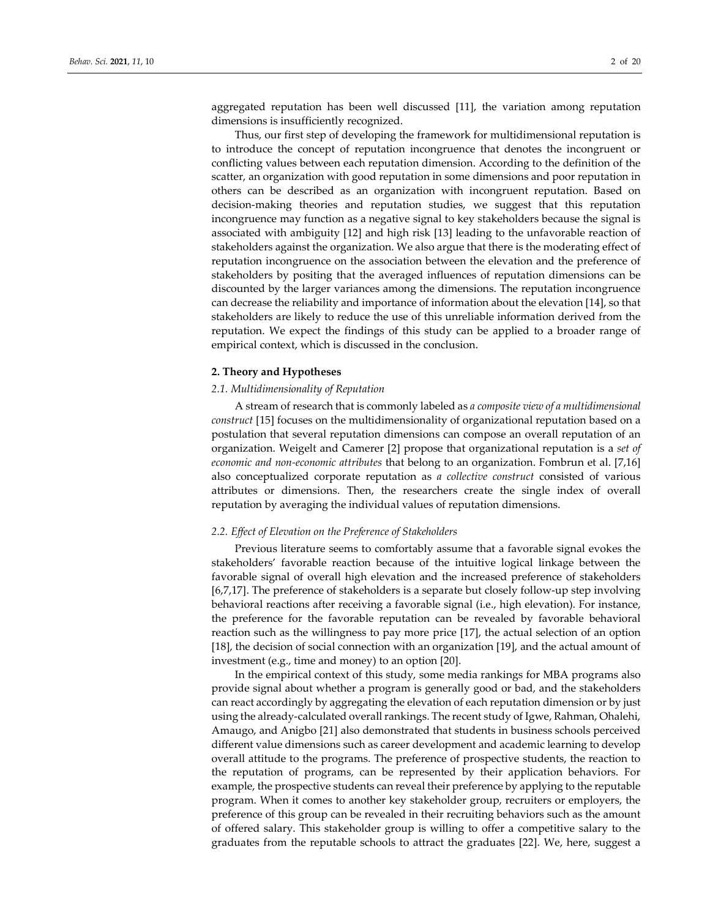aggregated reputation has been well discussed [11], the variation among reputation dimensions is insufficiently recognized.

Thus, our first step of developing the framework for multidimensional reputation is to introduce the concept of reputation incongruence that denotes the incongruent or conflicting values between each reputation dimension. According to the definition of the scatter, an organization with good reputation in some dimensions and poor reputation in others can be described as an organization with incongruent reputation. Based on decision-making theories and reputation studies, we suggest that this reputation incongruence may function as a negative signal to key stakeholders because the signal is associated with ambiguity [12] and high risk [13] leading to the unfavorable reaction of stakeholders against the organization. We also argue that there is the moderating effect of reputation incongruence on the association between the elevation and the preference of stakeholders by positing that the averaged influences of reputation dimensions can be discounted by the larger variances among the dimensions. The reputation incongruence can decrease the reliability and importance of information about the elevation [14], so that stakeholders are likely to reduce the use of this unreliable information derived from the reputation. We expect the findings of this study can be applied to a broader range of empirical context, which is discussed in the conclusion.

#### **2. Theory and Hypotheses**

#### *2.1. Multidimensionality of Reputation*

A stream of research that is commonly labeled as *a composite view of a multidimensional construct* [15] focuses on the multidimensionality of organizational reputation based on a postulation that several reputation dimensions can compose an overall reputation of an organization. Weigelt and Camerer [2] propose that organizational reputation is a *set of economic and non-economic attributes* that belong to an organization. Fombrun et al. [7,16] also conceptualized corporate reputation as *a collective construct* consisted of various attributes or dimensions. Then, the researchers create the single index of overall reputation by averaging the individual values of reputation dimensions.

#### *2.2. Effect of Elevation on the Preference of Stakeholders*

Previous literature seems to comfortably assume that a favorable signal evokes the stakeholders' favorable reaction because of the intuitive logical linkage between the favorable signal of overall high elevation and the increased preference of stakeholders [6,7,17]. The preference of stakeholders is a separate but closely follow-up step involving behavioral reactions after receiving a favorable signal (i.e., high elevation). For instance, the preference for the favorable reputation can be revealed by favorable behavioral reaction such as the willingness to pay more price [17], the actual selection of an option [18], the decision of social connection with an organization [19], and the actual amount of investment (e.g., time and money) to an option [20].

In the empirical context of this study, some media rankings for MBA programs also provide signal about whether a program is generally good or bad, and the stakeholders can react accordingly by aggregating the elevation of each reputation dimension or by just using the already-calculated overall rankings. The recent study of Igwe, Rahman, Ohalehi, Amaugo, and Anigbo [21] also demonstrated that students in business schools perceived different value dimensions such as career development and academic learning to develop overall attitude to the programs. The preference of prospective students, the reaction to the reputation of programs, can be represented by their application behaviors. For example, the prospective students can reveal their preference by applying to the reputable program. When it comes to another key stakeholder group, recruiters or employers, the preference of this group can be revealed in their recruiting behaviors such as the amount of offered salary. This stakeholder group is willing to offer a competitive salary to the graduates from the reputable schools to attract the graduates [22]. We, here, suggest a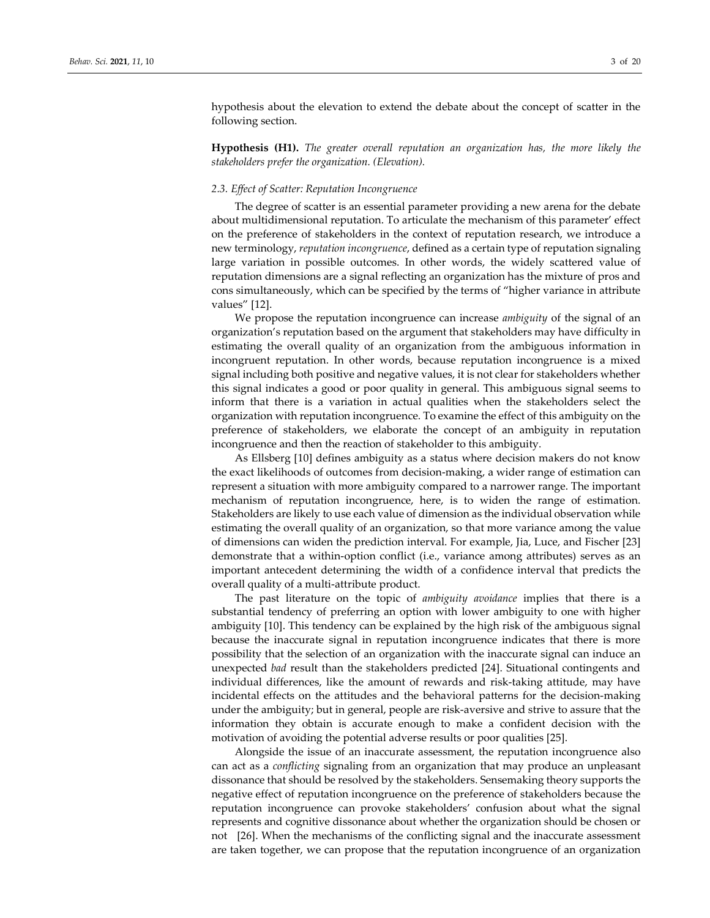hypothesis about the elevation to extend the debate about the concept of scatter in the following section.

**Hypothesis (H1).** *The greater overall reputation an organization has, the more likely the stakeholders prefer the organization. (Elevation).*

## *2.3. Effect of Scatter: Reputation Incongruence*

The degree of scatter is an essential parameter providing a new arena for the debate about multidimensional reputation. To articulate the mechanism of this parameter' effect on the preference of stakeholders in the context of reputation research, we introduce a new terminology, *reputation incongruence*, defined as a certain type of reputation signaling large variation in possible outcomes. In other words, the widely scattered value of reputation dimensions are a signal reflecting an organization has the mixture of pros and cons simultaneously, which can be specified by the terms of "higher variance in attribute values" [12].

We propose the reputation incongruence can increase *ambiguity* of the signal of an organization's reputation based on the argument that stakeholders may have difficulty in estimating the overall quality of an organization from the ambiguous information in incongruent reputation. In other words, because reputation incongruence is a mixed signal including both positive and negative values, it is not clear for stakeholders whether this signal indicates a good or poor quality in general. This ambiguous signal seems to inform that there is a variation in actual qualities when the stakeholders select the organization with reputation incongruence. To examine the effect of this ambiguity on the preference of stakeholders, we elaborate the concept of an ambiguity in reputation incongruence and then the reaction of stakeholder to this ambiguity.

As Ellsberg [10] defines ambiguity as a status where decision makers do not know the exact likelihoods of outcomes from decision-making, a wider range of estimation can represent a situation with more ambiguity compared to a narrower range. The important mechanism of reputation incongruence, here, is to widen the range of estimation. Stakeholders are likely to use each value of dimension as the individual observation while estimating the overall quality of an organization, so that more variance among the value of dimensions can widen the prediction interval. For example, Jia, Luce, and Fischer [23] demonstrate that a within-option conflict (i.e., variance among attributes) serves as an important antecedent determining the width of a confidence interval that predicts the overall quality of a multi-attribute product.

The past literature on the topic of *ambiguity avoidance* implies that there is a substantial tendency of preferring an option with lower ambiguity to one with higher ambiguity [10]. This tendency can be explained by the high risk of the ambiguous signal because the inaccurate signal in reputation incongruence indicates that there is more possibility that the selection of an organization with the inaccurate signal can induce an unexpected *bad* result than the stakeholders predicted [24]. Situational contingents and individual differences, like the amount of rewards and risk-taking attitude, may have incidental effects on the attitudes and the behavioral patterns for the decision-making under the ambiguity; but in general, people are risk-aversive and strive to assure that the information they obtain is accurate enough to make a confident decision with the motivation of avoiding the potential adverse results or poor qualities [25].

Alongside the issue of an inaccurate assessment, the reputation incongruence also can act as a *conflicting* signaling from an organization that may produce an unpleasant dissonance that should be resolved by the stakeholders. Sensemaking theory supports the negative effect of reputation incongruence on the preference of stakeholders because the reputation incongruence can provoke stakeholders' confusion about what the signal represents and cognitive dissonance about whether the organization should be chosen or not [26]. When the mechanisms of the conflicting signal and the inaccurate assessment are taken together, we can propose that the reputation incongruence of an organization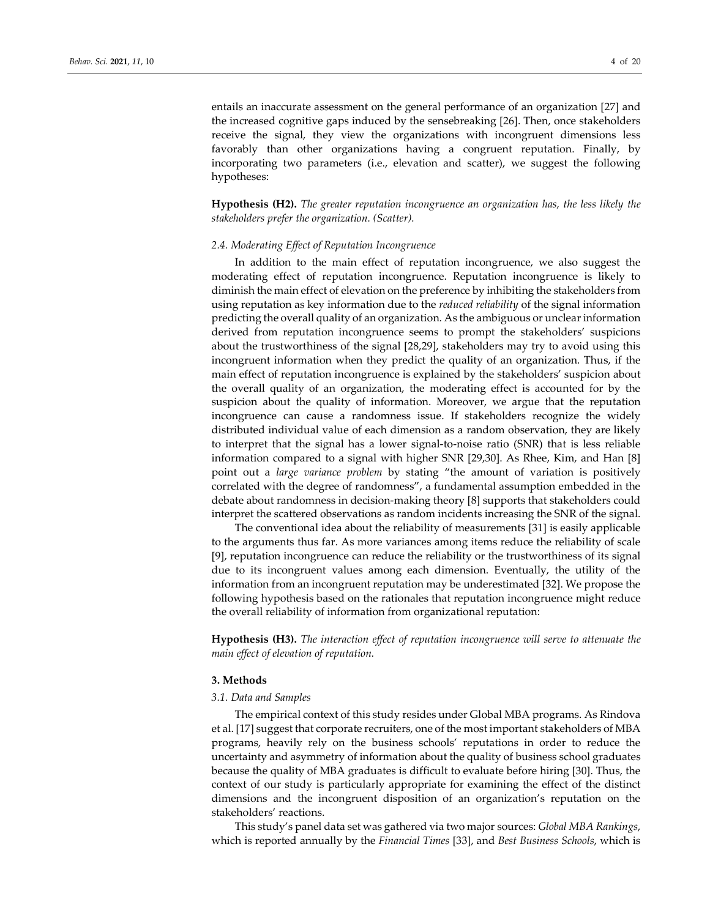entails an inaccurate assessment on the general performance of an organization [27] and the increased cognitive gaps induced by the sensebreaking [26]. Then, once stakeholders receive the signal, they view the organizations with incongruent dimensions less favorably than other organizations having a congruent reputation. Finally, by incorporating two parameters (i.e., elevation and scatter), we suggest the following hypotheses:

**Hypothesis (H2).** *The greater reputation incongruence an organization has, the less likely the stakeholders prefer the organization. (Scatter).*

#### *2.4. Moderating Effect of Reputation Incongruence*

In addition to the main effect of reputation incongruence, we also suggest the moderating effect of reputation incongruence. Reputation incongruence is likely to diminish the main effect of elevation on the preference by inhibiting the stakeholders from using reputation as key information due to the *reduced reliability* of the signal information predicting the overall quality of an organization. As the ambiguous or unclear information derived from reputation incongruence seems to prompt the stakeholders' suspicions about the trustworthiness of the signal [28,29], stakeholders may try to avoid using this incongruent information when they predict the quality of an organization. Thus, if the main effect of reputation incongruence is explained by the stakeholders' suspicion about the overall quality of an organization, the moderating effect is accounted for by the suspicion about the quality of information. Moreover, we argue that the reputation incongruence can cause a randomness issue. If stakeholders recognize the widely distributed individual value of each dimension as a random observation, they are likely to interpret that the signal has a lower signal-to-noise ratio (SNR) that is less reliable information compared to a signal with higher SNR [29,30]. As Rhee, Kim, and Han [8] point out a *large variance problem* by stating "the amount of variation is positively correlated with the degree of randomness", a fundamental assumption embedded in the debate about randomness in decision-making theory [8] supports that stakeholders could interpret the scattered observations as random incidents increasing the SNR of the signal.

The conventional idea about the reliability of measurements [31] is easily applicable to the arguments thus far. As more variances among items reduce the reliability of scale [9], reputation incongruence can reduce the reliability or the trustworthiness of its signal due to its incongruent values among each dimension. Eventually, the utility of the information from an incongruent reputation may be underestimated [32]. We propose the following hypothesis based on the rationales that reputation incongruence might reduce the overall reliability of information from organizational reputation:

**Hypothesis (H3).** *The interaction effect of reputation incongruence will serve to attenuate the main effect of elevation of reputation.*

## **3. Methods**

#### *3.1. Data and Samples*

The empirical context of this study resides under Global MBA programs. As Rindova et al. [17] suggest that corporate recruiters, one of the most important stakeholders of MBA programs, heavily rely on the business schools' reputations in order to reduce the uncertainty and asymmetry of information about the quality of business school graduates because the quality of MBA graduates is difficult to evaluate before hiring [30]. Thus, the context of our study is particularly appropriate for examining the effect of the distinct dimensions and the incongruent disposition of an organization's reputation on the stakeholders' reactions.

This study's panel data set was gathered via two major sources: *Global MBA Rankings*, which is reported annually by the *Financial Times* [33], and *Best Business Schools*, which is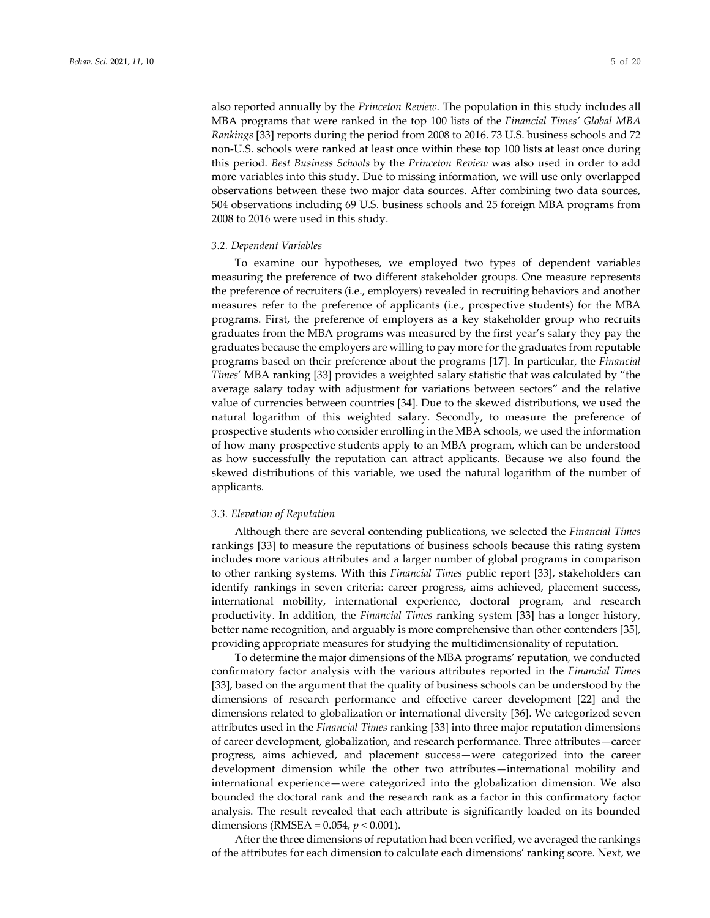also reported annually by the *Princeton Review*. The population in this study includes all MBA programs that were ranked in the top 100 lists of the *Financial Times' Global MBA Rankings* [33] reports during the period from 2008 to 2016. 73 U.S. business schools and 72 non-U.S. schools were ranked at least once within these top 100 lists at least once during this period. *Best Business Schools* by the *Princeton Review* was also used in order to add more variables into this study. Due to missing information, we will use only overlapped observations between these two major data sources. After combining two data sources, 504 observations including 69 U.S. business schools and 25 foreign MBA programs from 2008 to 2016 were used in this study.

#### *3.2. Dependent Variables*

To examine our hypotheses, we employed two types of dependent variables measuring the preference of two different stakeholder groups. One measure represents the preference of recruiters (i.e., employers) revealed in recruiting behaviors and another measures refer to the preference of applicants (i.e., prospective students) for the MBA programs. First, the preference of employers as a key stakeholder group who recruits graduates from the MBA programs was measured by the first year's salary they pay the graduates because the employers are willing to pay more for the graduates from reputable programs based on their preference about the programs [17]. In particular, the *Financial Times*' MBA ranking [33] provides a weighted salary statistic that was calculated by "the average salary today with adjustment for variations between sectors" and the relative value of currencies between countries [34]. Due to the skewed distributions, we used the natural logarithm of this weighted salary. Secondly, to measure the preference of prospective students who consider enrolling in the MBA schools, we used the information of how many prospective students apply to an MBA program, which can be understood as how successfully the reputation can attract applicants. Because we also found the skewed distributions of this variable, we used the natural logarithm of the number of applicants.

#### *3.3. Elevation of Reputation*

Although there are several contending publications, we selected the *Financial Times* rankings [33] to measure the reputations of business schools because this rating system includes more various attributes and a larger number of global programs in comparison to other ranking systems. With this *Financial Times* public report [33], stakeholders can identify rankings in seven criteria: career progress, aims achieved, placement success, international mobility, international experience, doctoral program, and research productivity. In addition, the *Financial Times* ranking system [33] has a longer history, better name recognition, and arguably is more comprehensive than other contenders [35], providing appropriate measures for studying the multidimensionality of reputation.

To determine the major dimensions of the MBA programs' reputation, we conducted confirmatory factor analysis with the various attributes reported in the *Financial Times* [33], based on the argument that the quality of business schools can be understood by the dimensions of research performance and effective career development [22] and the dimensions related to globalization or international diversity [36]. We categorized seven attributes used in the *Financial Times* ranking [33] into three major reputation dimensions of career development, globalization, and research performance. Three attributes—career progress, aims achieved, and placement success—were categorized into the career development dimension while the other two attributes—international mobility and international experience—were categorized into the globalization dimension. We also bounded the doctoral rank and the research rank as a factor in this confirmatory factor analysis. The result revealed that each attribute is significantly loaded on its bounded dimensions (RMSEA = 0.054, *p* < 0.001).

After the three dimensions of reputation had been verified, we averaged the rankings of the attributes for each dimension to calculate each dimensions' ranking score. Next, we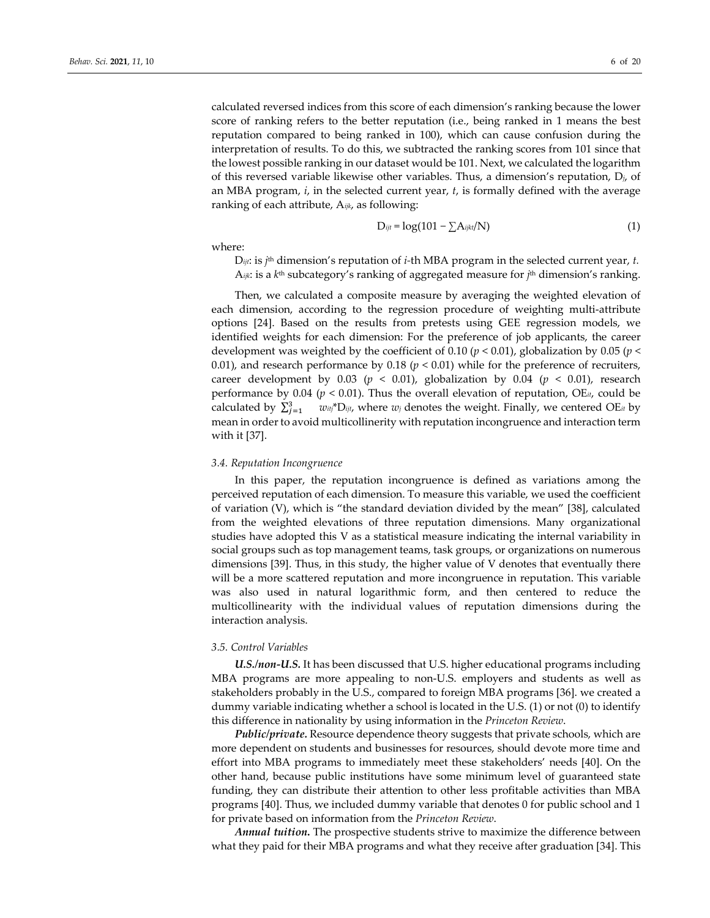calculated reversed indices from this score of each dimension's ranking because the lower score of ranking refers to the better reputation (i.e., being ranked in 1 means the best reputation compared to being ranked in 100), which can cause confusion during the interpretation of results. To do this, we subtracted the ranking scores from 101 since that the lowest possible ranking in our dataset would be 101. Next, we calculated the logarithm of this reversed variable likewise other variables. Thus, a dimension's reputation, D*j*, of an MBA program, *i*, in the selected current year, *t*, is formally defined with the average ranking of each attribute, A*ijk*, as following:

$$
D_{ijt} = \log(101 - \sum A_{ijkl}/N)
$$
 (1)

where:

D*ijt*: is *j*th dimension's reputation of *i-*th MBA program in the selected current year, *t.* A*ijk*: is a *k*th subcategory's ranking of aggregated measure for *j*th dimension's ranking.

Then, we calculated a composite measure by averaging the weighted elevation of each dimension, according to the regression procedure of weighting multi-attribute options [24]. Based on the results from pretests using GEE regression models, we identified weights for each dimension: For the preference of job applicants, the career development was weighted by the coefficient of 0.10 ( $p < 0.01$ ), globalization by 0.05 ( $p <$ 0.01), and research performance by 0.18 ( $p < 0.01$ ) while for the preference of recruiters, career development by  $0.03$  ( $p < 0.01$ ), globalization by  $0.04$  ( $p < 0.01$ ), research performance by 0.04 (*p* < 0.01). Thus the overall elevation of reputation, OE*it*, could be calculated by  $\sum_{j=1}^{3}$  *witj*\*D<sub>*ijt*</sub>, where *w<sub>j</sub>* denotes the weight. Finally, we centered OE<sub>it</sub> by mean in order to avoid multicollinerity with reputation incongruence and interaction term with it [37].

#### *3.4. Reputation Incongruence*

In this paper, the reputation incongruence is defined as variations among the perceived reputation of each dimension. To measure this variable, we used the coefficient of variation (V), which is "the standard deviation divided by the mean" [38], calculated from the weighted elevations of three reputation dimensions. Many organizational studies have adopted this V as a statistical measure indicating the internal variability in social groups such as top management teams, task groups, or organizations on numerous dimensions [39]. Thus, in this study, the higher value of V denotes that eventually there will be a more scattered reputation and more incongruence in reputation. This variable was also used in natural logarithmic form, and then centered to reduce the multicollinearity with the individual values of reputation dimensions during the interaction analysis.

#### *3.5. Control Variables*

*U.S./non-U.S.* It has been discussed that U.S. higher educational programs including MBA programs are more appealing to non-U.S. employers and students as well as stakeholders probably in the U.S., compared to foreign MBA programs [36]. we created a dummy variable indicating whether a school is located in the U.S. (1) or not (0) to identify this difference in nationality by using information in the *Princeton Review*.

*Public/private.* Resource dependence theory suggests that private schools, which are more dependent on students and businesses for resources, should devote more time and effort into MBA programs to immediately meet these stakeholders' needs [40]. On the other hand, because public institutions have some minimum level of guaranteed state funding, they can distribute their attention to other less profitable activities than MBA programs [40]. Thus, we included dummy variable that denotes 0 for public school and 1 for private based on information from the *Princeton Review*.

*Annual tuition***.** The prospective students strive to maximize the difference between what they paid for their MBA programs and what they receive after graduation [34]. This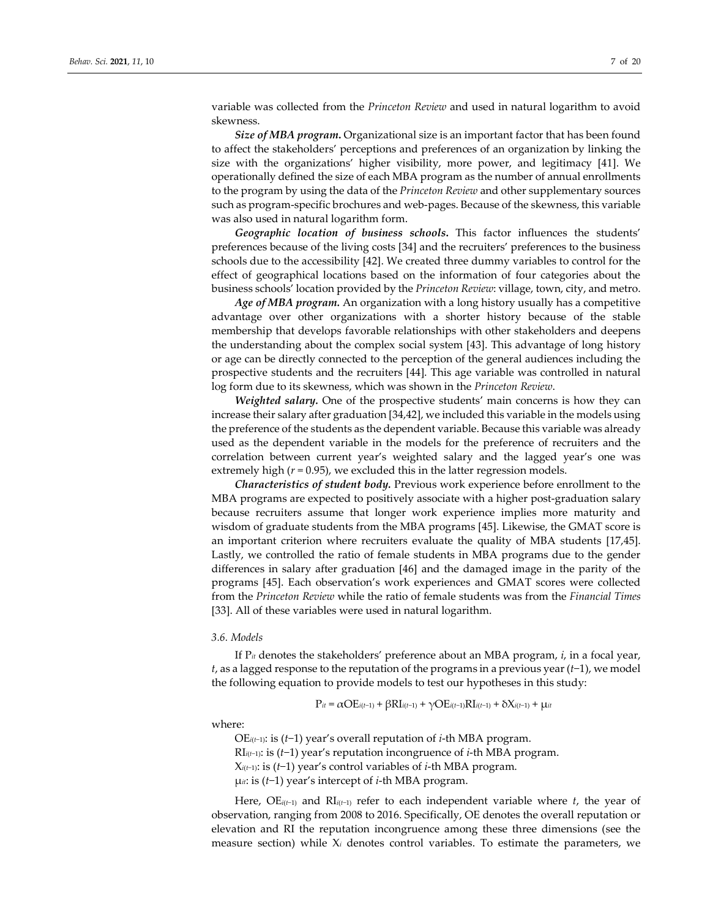variable was collected from the *Princeton Review* and used in natural logarithm to avoid skewness.

*Size of MBA program***.** Organizational size is an important factor that has been found to affect the stakeholders' perceptions and preferences of an organization by linking the size with the organizations' higher visibility, more power, and legitimacy [41]. We operationally defined the size of each MBA program as the number of annual enrollments to the program by using the data of the *Princeton Review* and other supplementary sources such as program-specific brochures and web-pages. Because of the skewness, this variable was also used in natural logarithm form.

*Geographic location of business schools***.** This factor influences the students' preferences because of the living costs [34] and the recruiters' preferences to the business schools due to the accessibility [42]. We created three dummy variables to control for the effect of geographical locations based on the information of four categories about the business schools' location provided by the *Princeton Review*: village, town, city, and metro.

*Age of MBA program.* An organization with a long history usually has a competitive advantage over other organizations with a shorter history because of the stable membership that develops favorable relationships with other stakeholders and deepens the understanding about the complex social system [43]. This advantage of long history or age can be directly connected to the perception of the general audiences including the prospective students and the recruiters [44]. This age variable was controlled in natural log form due to its skewness, which was shown in the *Princeton Review*.

*Weighted salary.* One of the prospective students' main concerns is how they can increase their salary after graduation [34,42], we included this variable in the models using the preference of the students as the dependent variable. Because this variable was already used as the dependent variable in the models for the preference of recruiters and the correlation between current year's weighted salary and the lagged year's one was extremely high  $(r = 0.95)$ , we excluded this in the latter regression models.

*Characteristics of student body.* Previous work experience before enrollment to the MBA programs are expected to positively associate with a higher post-graduation salary because recruiters assume that longer work experience implies more maturity and wisdom of graduate students from the MBA programs [45]. Likewise, the GMAT score is an important criterion where recruiters evaluate the quality of MBA students [17,45]. Lastly, we controlled the ratio of female students in MBA programs due to the gender differences in salary after graduation [46] and the damaged image in the parity of the programs [45]. Each observation's work experiences and GMAT scores were collected from the *Princeton Review* while the ratio of female students was from the *Financial Times* [33]. All of these variables were used in natural logarithm.

#### *3.6. Models*

If P*it* denotes the stakeholders' preference about an MBA program, *i*, in a focal year, *t*, as a lagged response to the reputation of the programs in a previous year (*t*−1), we model the following equation to provide models to test our hypotheses in this study:

$$
P_{it} = \alpha \mathbf{OE}_{i(t-1)} + \beta \mathbf{RI}_{i(t-1)} + \gamma \mathbf{OE}_{i(t-1)} \mathbf{RI}_{i(t-1)} + \delta \mathbf{X}_{i(t-1)} + \mu_{it}
$$

where:

OE*i*(*t*−1): is (*t*−1) year's overall reputation of *i*-th MBA program. RI*i*(*t*−1): is (*t*−1) year's reputation incongruence of *i*-th MBA program. X*i*(*t*−1): is (*t*−1) year's control variables of *i*-th MBA program.

μ*it*: is (*t*−1) year's intercept of *i*-th MBA program.

Here, OE*i*(*t*−1) and RI*i*(*t*−1) refer to each independent variable where *t*, the year of observation, ranging from 2008 to 2016. Specifically, OE denotes the overall reputation or elevation and RI the reputation incongruence among these three dimensions (see the measure section) while X*<sup>i</sup>* denotes control variables. To estimate the parameters, we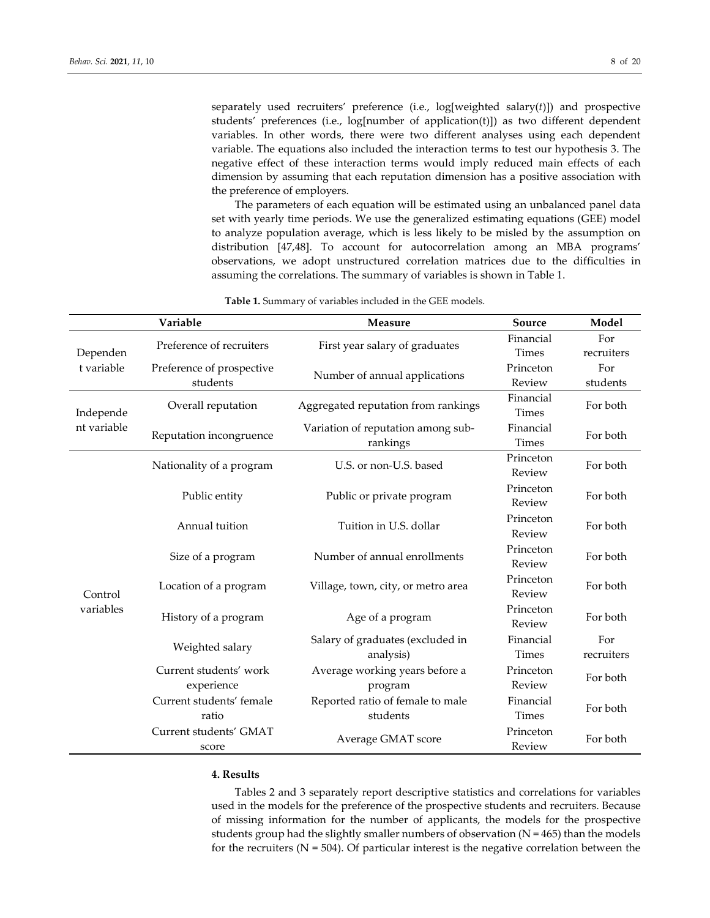separately used recruiters' preference (i.e., log[weighted salary(*t*)]) and prospective students' preferences (i.e., log[number of application(t)]) as two different dependent variables. In other words, there were two different analyses using each dependent variable. The equations also included the interaction terms to test our hypothesis 3. The negative effect of these interaction terms would imply reduced main effects of each dimension by assuming that each reputation dimension has a positive association with the preference of employers.

The parameters of each equation will be estimated using an unbalanced panel data set with yearly time periods. We use the generalized estimating equations (GEE) model to analyze population average, which is less likely to be misled by the assumption on distribution [47,48]. To account for autocorrelation among an MBA programs' observations, we adopt unstructured correlation matrices due to the difficulties in assuming the correlations. The summary of variables is shown in Table 1.

|                        | Variable                  | <b>Measure</b>                      | Source       | Model      |  |  |
|------------------------|---------------------------|-------------------------------------|--------------|------------|--|--|
|                        |                           |                                     | Financial    | For        |  |  |
| Dependen<br>t variable | Preference of recruiters  | First year salary of graduates      | Times        | recruiters |  |  |
|                        | Preference of prospective |                                     | Princeton    | For        |  |  |
|                        | students                  | Number of annual applications       | Review       | students   |  |  |
| Independe              | Overall reputation        | Aggregated reputation from rankings | Financial    | For both   |  |  |
|                        |                           |                                     | Times        |            |  |  |
| nt variable            | Reputation incongruence   | Variation of reputation among sub-  | Financial    | For both   |  |  |
|                        |                           | rankings                            | Times        |            |  |  |
|                        | Nationality of a program  | U.S. or non-U.S. based              | Princeton    | For both   |  |  |
|                        |                           |                                     | Review       | For both   |  |  |
|                        | Public entity             | Public or private program           | Princeton    |            |  |  |
|                        |                           |                                     | Review       |            |  |  |
|                        | Annual tuition            | Tuition in U.S. dollar              | Princeton    | For both   |  |  |
|                        |                           |                                     | Review       |            |  |  |
|                        | Size of a program         | Number of annual enrollments        | Princeton    | For both   |  |  |
|                        |                           |                                     | Review       |            |  |  |
|                        | Location of a program     | Village, town, city, or metro area  | Princeton    | For both   |  |  |
| Control                |                           |                                     | Review       |            |  |  |
| variables              | History of a program      | Age of a program                    | Princeton    | For both   |  |  |
|                        |                           |                                     | Review       |            |  |  |
|                        | Weighted salary           | Salary of graduates (excluded in    | Financial    | For        |  |  |
|                        |                           | analysis)                           | <b>Times</b> | recruiters |  |  |
|                        | Current students' work    | Average working years before a      | Princeton    | For both   |  |  |
|                        | experience                | program                             | Review       |            |  |  |
|                        | Current students' female  | Reported ratio of female to male    | Financial    | For both   |  |  |
|                        | ratio                     | students                            | <b>Times</b> |            |  |  |
|                        | Current students' GMAT    | Average GMAT score                  | Princeton    | For both   |  |  |
|                        | score                     |                                     | Review       |            |  |  |

**Table 1.** Summary of variables included in the GEE models.

## **4. Results**

Tables 2 and 3 separately report descriptive statistics and correlations for variables used in the models for the preference of the prospective students and recruiters. Because of missing information for the number of applicants, the models for the prospective students group had the slightly smaller numbers of observation  $(N = 465)$  than the models for the recruiters ( $N = 504$ ). Of particular interest is the negative correlation between the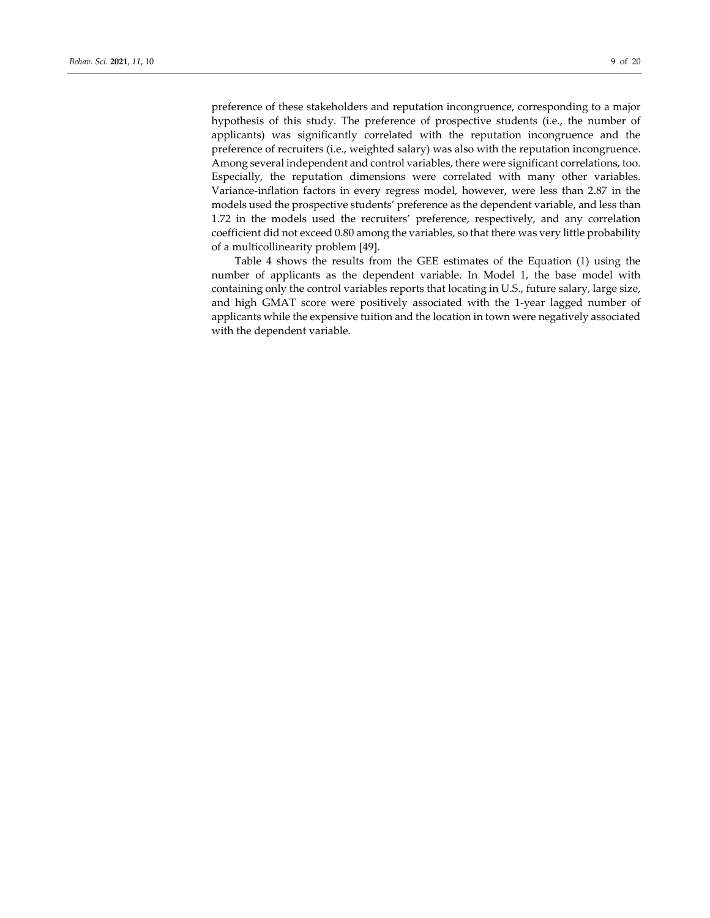preference of these stakeholders and reputation incongruence, corresponding to a major hypothesis of this study. The preference of prospective students (i.e., the number of applicants) was significantly correlated with the reputation incongruence and the preference of recruiters (i.e., weighted salary) was also with the reputation incongruence. Among several independent and control variables, there were significant correlations, too. Especially, the reputation dimensions were correlated with many other variables. Variance-inflation factors in every regress model, however, were less than 2.87 in the models used the prospective students' preference as the dependent variable, and less than 1.72 in the models used the recruiters' preference, respectively, and any correlation coefficient did not exceed 0.80 among the variables, so that there was very little probability of a multicollinearity problem [49].

Table 4 shows the results from the GEE estimates of the Equation (1) using the number of applicants as the dependent variable. In Model 1, the base model with containing only the control variables reports that locating in U.S., future salary, large size, and high GMAT score were positively associated with the 1-year lagged number of applicants while the expensive tuition and the location in town were negatively associated with the dependent variable.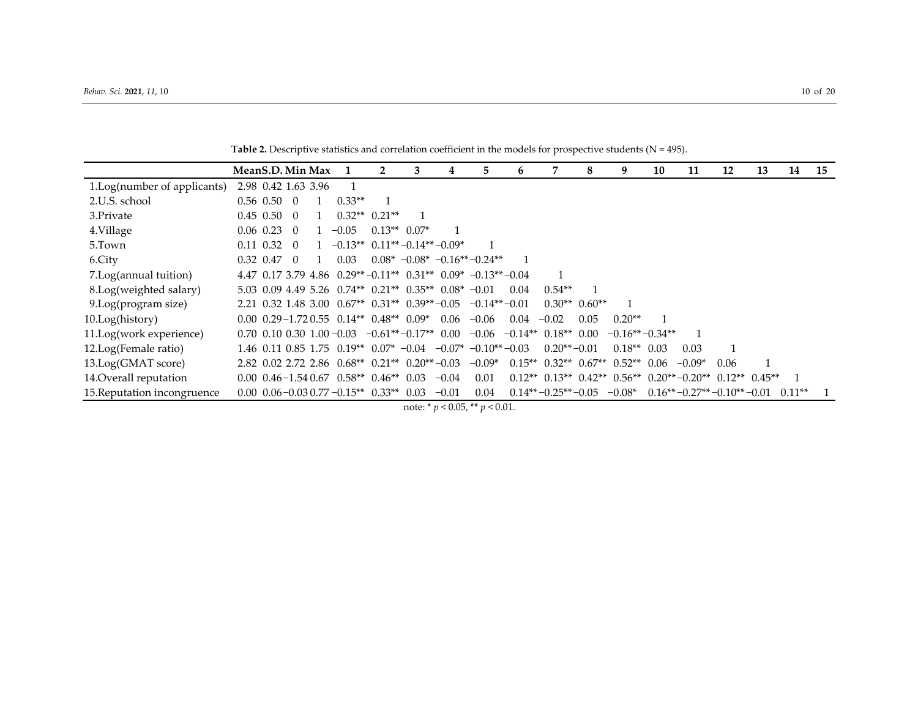|                             | MeanS.D. Min Max    |                  |                                                                                           |                       | 3 | 4       | 5.                                                                  | h    |                                                                          | 8    | 9                | 10 | 11       | 12                          | 13 | 14       | 15 |
|-----------------------------|---------------------|------------------|-------------------------------------------------------------------------------------------|-----------------------|---|---------|---------------------------------------------------------------------|------|--------------------------------------------------------------------------|------|------------------|----|----------|-----------------------------|----|----------|----|
| 1.Log(number of applicants) | 2.98 0.42 1.63 3.96 |                  |                                                                                           |                       |   |         |                                                                     |      |                                                                          |      |                  |    |          |                             |    |          |    |
| 2.U.S. school               | $0.56$ $0.50$       | $\left( \right)$ | $0.33**$                                                                                  |                       |   |         |                                                                     |      |                                                                          |      |                  |    |          |                             |    |          |    |
| 3.Private                   | $0.45$ 0.50         | - 0              |                                                                                           | $0.32**$ $0.21**$     |   |         |                                                                     |      |                                                                          |      |                  |    |          |                             |    |          |    |
| 4.Village                   | $0.06$ 0.23 0       |                  | $-0.05$                                                                                   | $0.13**0.07*$         |   |         |                                                                     |      |                                                                          |      |                  |    |          |                             |    |          |    |
| 5.Town                      | 0.11 0.32           | - 0              | $-0.13**$ 0.11** $-0.14**$ -0.09*                                                         |                       |   |         |                                                                     |      |                                                                          |      |                  |    |          |                             |    |          |    |
| 6.City                      | 0.32 0.47           | - 0              | 0.03                                                                                      |                       |   |         | $0.08^*$ -0.08* -0.16**-0.24**                                      |      |                                                                          |      |                  |    |          |                             |    |          |    |
| 7.Log(annual tuition)       |                     |                  |                                                                                           |                       |   |         | 4.47 0.17 3.79 4.86 0.29** $-0.11**$ 0.31** 0.09* $-0.13**$ $-0.04$ |      |                                                                          |      |                  |    |          |                             |    |          |    |
| 8.Log(weighted salary)      |                     |                  | $5.03$ 0.09 4.49 5.26 0.74** 0.21** 0.35** 0.08* -0.01                                    |                       |   |         |                                                                     | 0.04 | $0.54**$                                                                 |      |                  |    |          |                             |    |          |    |
| 9. Log(program size)        |                     |                  | $2.21$ 0.32 1.48 3.00 0.67** 0.31** 0.39**-0.05                                           |                       |   |         | $-0.14**-0.01$                                                      |      | $0.30**$ 0.60 <sup>**</sup>                                              |      |                  |    |          |                             |    |          |    |
| 10.Log(history)             |                     |                  | $0.00 \text{ } 0.29 - 1.72 \text{ } 0.55 \text{ } 0.14** \text{ } 0.48** \text{ } 0.09**$ |                       |   | 0.06    | $-0.06$                                                             | 0.04 | $-0.02$                                                                  | 0.05 | $0.20**$         |    |          |                             |    |          |    |
| 11.Log(work experience)     |                     |                  | $0.70$ $0.10$ $0.30$ $1.00$ $-0.03$                                                       | $-0.61**-0.17**$ 0.00 |   |         | $-0.06$                                                             |      | $-0.14**$ 0.18 <sup>**</sup> 0.00                                        |      | $-0.16**-0.34**$ |    |          |                             |    |          |    |
| 12.Log(Female ratio)        |                     |                  | $1.46$ 0.11 0.85 1.75 0.19** 0.07* -0.04                                                  |                       |   |         | $-0.07*$ $-0.10**$ $-0.03$                                          |      | $0.20**-0.01$                                                            |      | $0.18**$ 0.03    |    | 0.03     |                             |    |          |    |
| 13.Log(GMAT score)          |                     |                  | $2.82$ 0.02 2.72 2.86 0.68** 0.21** 0.20**-0.03                                           |                       |   |         | $-0.09*$                                                            |      | $0.15**$ $0.32**$ $0.67**$ $0.52**$ $0.06$                               |      |                  |    | $-0.09*$ | 0.06                        |    |          |    |
| 14. Overall reputation      |                     |                  | $0.00 \quad 0.46 - 1.54 \quad 0.67 \quad 0.58** \quad 0.46** \quad 0.03$                  |                       |   | $-0.04$ | 0.01                                                                |      | $0.12**$ $0.13**$ $0.42**$ $0.56**$ $0.20**$ $-0.20**$ $0.12**$ $0.45**$ |      |                  |    |          |                             |    |          |    |
| 15. Reputation incongruence |                     |                  | $0.00\, 0.06 - 0.03 \, 0.77 - 0.15**\, 0.33**\, 0.03$                                     |                       |   | $-0.01$ | 0.04                                                                |      | $0.14**-0.25**-0.05$                                                     |      | $-0.08*$         |    |          | $0.16**-0.27**-0.10**-0.01$ |    | $0.11**$ |    |

Table 2. Descriptive statistics and correlation coefficient in the models for prospective students (N = 495).

note: \* *p* < 0.05, \*\* *p* < 0.01.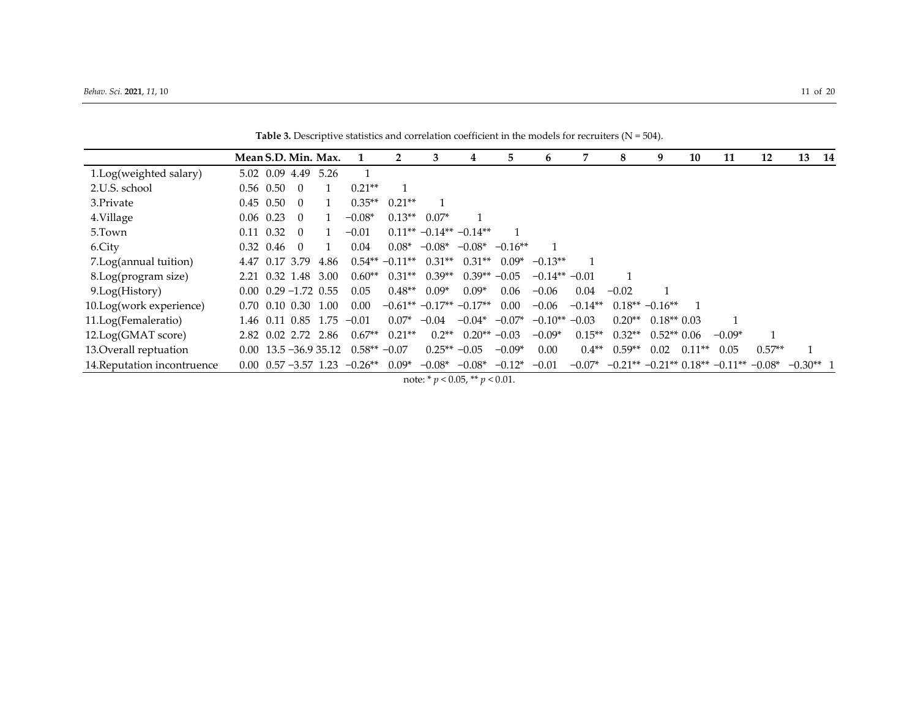|                             | Mean S.D. Min. Max. |                                     |                                      |                |                   | 3              | 4                              | 5.        | 6               |           | 8        | 9                | 10       | 11                                              | 12       | 13          | - 14 |
|-----------------------------|---------------------|-------------------------------------|--------------------------------------|----------------|-------------------|----------------|--------------------------------|-----------|-----------------|-----------|----------|------------------|----------|-------------------------------------------------|----------|-------------|------|
| 1.Log(weighted salary)      |                     | 5.02 0.09 4.49                      | 5.26                                 |                |                   |                |                                |           |                 |           |          |                  |          |                                                 |          |             |      |
| 2.U.S. school               | $0.56$ 0.50         |                                     |                                      | $0.21**$       |                   |                |                                |           |                 |           |          |                  |          |                                                 |          |             |      |
| 3.Private                   | $0.45$ 0.50         | $\Omega$                            |                                      | $0.35**$       | $0.21**$          |                |                                |           |                 |           |          |                  |          |                                                 |          |             |      |
| 4.Village                   | $0.06$ 0.23         | $\Omega$                            |                                      | $-0.08*$       | $0.13**$          | $0.07*$        |                                |           |                 |           |          |                  |          |                                                 |          |             |      |
| 5.Town                      | $0.11 \quad 0.32$   | $\Omega$                            |                                      | $-0.01$        |                   |                | $0.11***-0.14**-0.14**$        |           |                 |           |          |                  |          |                                                 |          |             |      |
| 6.City                      | $0.32 \quad 0.46$   | $\Omega$                            |                                      | 0.04           | $0.08*$           | $-0.08*$       | $-0.08*$                       | $-0.16**$ |                 |           |          |                  |          |                                                 |          |             |      |
| 7.Log(annual tuition)       |                     | 4.47 0.17 3.79                      | 4.86                                 |                | $0.54** - 0.11**$ | $0.31**$       | $0.31**$                       | $0.09*$   | $-0.13**$       |           |          |                  |          |                                                 |          |             |      |
| 8.Log(program size)         |                     | 2.21 0.32 1.48                      | 3.00                                 | $0.60**$       | $0.31**$          | $0.39**$       | $0.39** -0.05$                 |           | $-0.14** -0.01$ |           |          |                  |          |                                                 |          |             |      |
| 9.Log(History)              |                     | $0.00 \quad 0.29 - 1.72 \quad 0.55$ |                                      | 0.05           | $0.48**$          | $0.09*$        | $0.09*$                        | 0.06      | $-0.06$         | 0.04      | $-0.02$  |                  |          |                                                 |          |             |      |
| 10.Log(work experience)     |                     | $0.70 \quad 0.10 \quad 0.30$        | 1.00                                 | 0.00           |                   |                | $-0.61***$ $-0.17**$ $-0.17**$ | 0.00      | $-0.06$         | $-0.14**$ |          | $0.18** -0.16**$ |          |                                                 |          |             |      |
| 11.Log(Femaleratio)         |                     |                                     | 1.46 0.11 0.85 1.75                  | $-0.01$        | $0.07*$           | $-0.04$        | $-0.04^*$ $-0.07^*$            |           | $-0.10**$       | $-0.03$   | $0.20**$ | $0.18**0.03$     |          |                                                 |          |             |      |
| 12.Log(GMAT score)          |                     | 2.82 0.02 2.72 2.86                 |                                      | $0.67**$       | $0.21**$          | $0.2**$        | $0.20** -0.03$                 |           | $-0.09*$        | $0.15**$  | $0.32**$ | $0.52**0.06$     |          | $-0.09*$                                        |          |             |      |
| 13. Overall reptuation      |                     |                                     | $0.00 \quad 13.5 - 36.9 \quad 35.12$ | $0.58** -0.07$ |                   | $0.25** -0.05$ |                                | $-0.09*$  | 0.00            | $0.4**$   | $0.59**$ | 0.02             | $0.11**$ | 0.05                                            | $0.57**$ |             |      |
| 14. Reputation incontruence |                     |                                     | $0.00 \quad 0.57 - 3.57 \quad 1.23$  | $-0.26**$      | $0.09*$           | $-0.08*$       | $-0.08*$                       | $-0.12*$  | $-0.01$         | $-0.07*$  |          |                  |          | $-0.21**$ $-0.21**$ $0.18**$ $-0.11**$ $-0.08*$ |          | $-0.30**$ 1 |      |

Table 3. Descriptive statistics and correlation coefficient in the models for recruiters (N = 504).

note: \* *p* < 0.05, \*\* *p* < 0.01.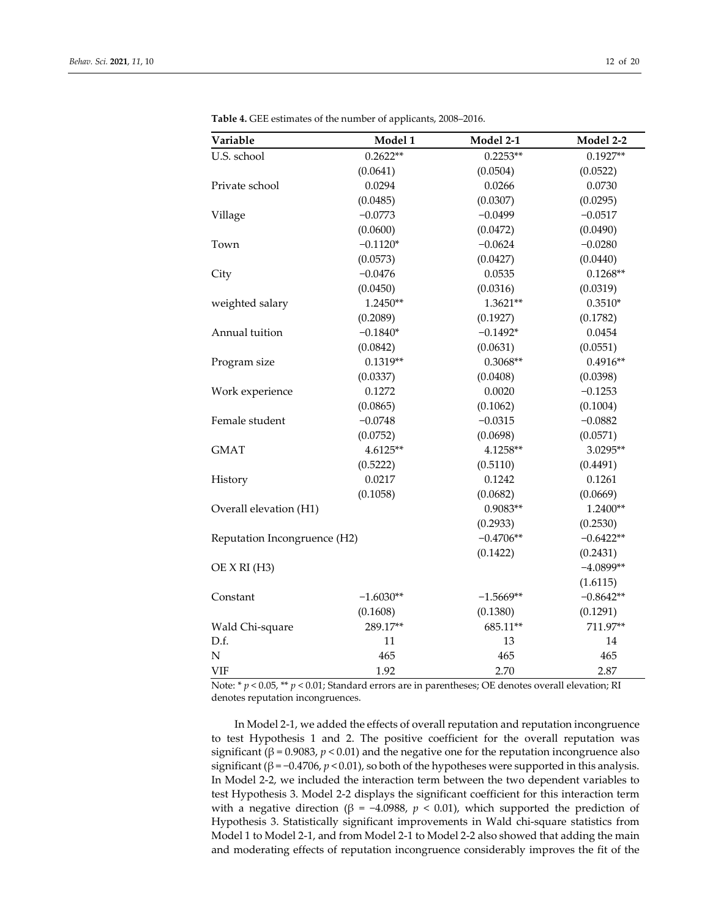| Variable                     | Model 1     | Model 2-1   | Model 2-2   |
|------------------------------|-------------|-------------|-------------|
| U.S. school                  | $0.2622**$  | $0.2253**$  | $0.1927**$  |
|                              | (0.0641)    | (0.0504)    | (0.0522)    |
| Private school               | 0.0294      | 0.0266      | 0.0730      |
|                              | (0.0485)    | (0.0307)    | (0.0295)    |
| Village                      | $-0.0773$   | $-0.0499$   | $-0.0517$   |
|                              | (0.0600)    | (0.0472)    | (0.0490)    |
| Town                         | $-0.1120*$  | $-0.0624$   | $-0.0280$   |
|                              | (0.0573)    | (0.0427)    | (0.0440)    |
| City                         | $-0.0476$   | 0.0535      | $0.1268**$  |
|                              | (0.0450)    | (0.0316)    | (0.0319)    |
| weighted salary              | 1.2450**    | 1.3621**    | $0.3510*$   |
|                              | (0.2089)    | (0.1927)    | (0.1782)    |
| Annual tuition               | $-0.1840*$  | $-0.1492*$  | 0.0454      |
|                              | (0.0842)    | (0.0631)    | (0.0551)    |
| Program size                 | $0.1319**$  | $0.3068**$  | $0.4916**$  |
|                              | (0.0337)    | (0.0408)    | (0.0398)    |
| Work experience              | 0.1272      | 0.0020      | $-0.1253$   |
|                              | (0.0865)    | (0.1062)    | (0.1004)    |
| Female student               | $-0.0748$   | $-0.0315$   | $-0.0882$   |
|                              | (0.0752)    | (0.0698)    | (0.0571)    |
| <b>GMAT</b>                  | 4.6125**    | 4.1258**    | 3.0295**    |
|                              | (0.5222)    | (0.5110)    | (0.4491)    |
| History                      | 0.0217      | 0.1242      | 0.1261      |
|                              | (0.1058)    | (0.0682)    | (0.0669)    |
| Overall elevation (H1)       |             | 0.9083**    | 1.2400**    |
|                              |             | (0.2933)    | (0.2530)    |
| Reputation Incongruence (H2) |             | $-0.4706**$ | $-0.6422**$ |
|                              |             | (0.1422)    | (0.2431)    |
| OE X RI (H3)                 |             |             | $-4.0899**$ |
|                              |             |             | (1.6115)    |
| Constant                     | $-1.6030**$ | $-1.5669**$ | $-0.8642**$ |
|                              | (0.1608)    | (0.1380)    | (0.1291)    |
| Wald Chi-square              | 289.17**    | 685.11**    | 711.97**    |
| D.f.                         | 11          | 13          | 14          |
| $\mathbf N$                  | 465         | 465         | 465         |
| <b>VIF</b>                   | 1.92        | 2.70        | 2.87        |

**Table 4.** GEE estimates of the number of applicants, 2008–2016.

Note: \* *p* < 0.05, \*\* *p* < 0.01; Standard errors are in parentheses; OE denotes overall elevation; RI denotes reputation incongruences.

In Model 2-1, we added the effects of overall reputation and reputation incongruence to test Hypothesis 1 and 2. The positive coefficient for the overall reputation was significant ( $\beta$  = 0.9083,  $p$  < 0.01) and the negative one for the reputation incongruence also significant ( $\beta$  = -0.4706,  $p$  < 0.01), so both of the hypotheses were supported in this analysis. In Model 2-2, we included the interaction term between the two dependent variables to test Hypothesis 3. Model 2-2 displays the significant coefficient for this interaction term with a negative direction (β = -4.0988,  $p$  < 0.01), which supported the prediction of Hypothesis 3. Statistically significant improvements in Wald chi-square statistics from Model 1 to Model 2-1, and from Model 2-1 to Model 2-2 also showed that adding the main and moderating effects of reputation incongruence considerably improves the fit of the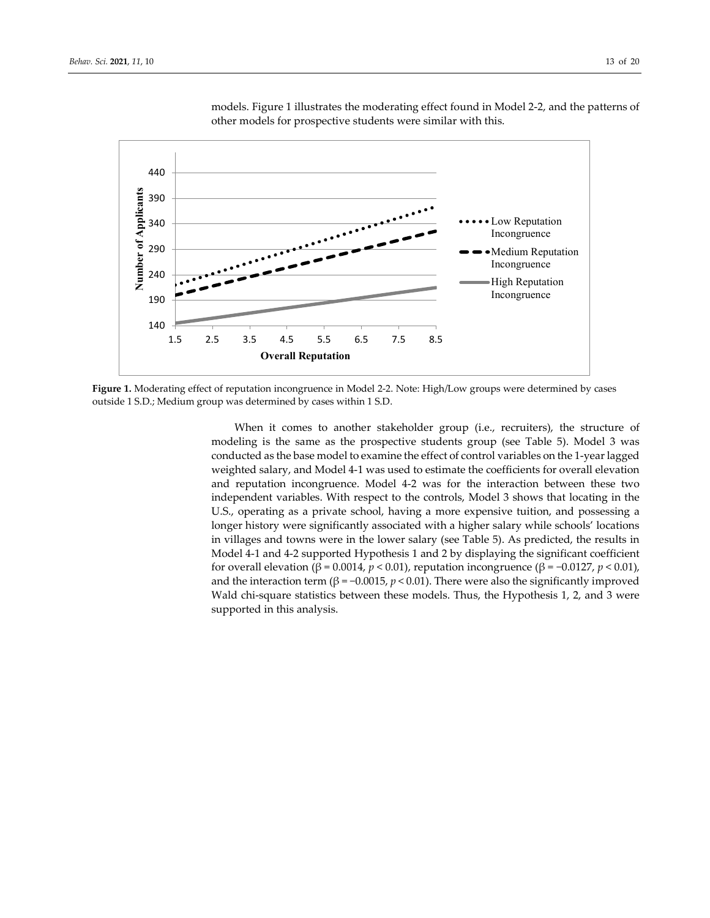

models. Figure 1 illustrates the moderating effect found in Model 2-2, and the patterns of other models for prospective students were similar with this.

**Figure 1.** Moderating effect of reputation incongruence in Model 2-2. Note: High/Low groups were determined by cases outside 1 S.D.; Medium group was determined by cases within 1 S.D.

When it comes to another stakeholder group (i.e., recruiters), the structure of modeling is the same as the prospective students group (see Table 5). Model 3 was conducted as the base model to examine the effect of control variables on the 1-year lagged weighted salary, and Model 4-1 was used to estimate the coefficients for overall elevation and reputation incongruence. Model 4-2 was for the interaction between these two independent variables. With respect to the controls, Model 3 shows that locating in the U.S., operating as a private school, having a more expensive tuition, and possessing a longer history were significantly associated with a higher salary while schools' locations in villages and towns were in the lower salary (see Table 5). As predicted, the results in Model 4-1 and 4-2 supported Hypothesis 1 and 2 by displaying the significant coefficient for overall elevation (β = 0.0014, *p* < 0.01), reputation incongruence (β = −0.0127, *p* < 0.01), and the interaction term ( $β = -0.0015$ ,  $p < 0.01$ ). There were also the significantly improved Wald chi-square statistics between these models. Thus, the Hypothesis 1, 2, and 3 were supported in this analysis.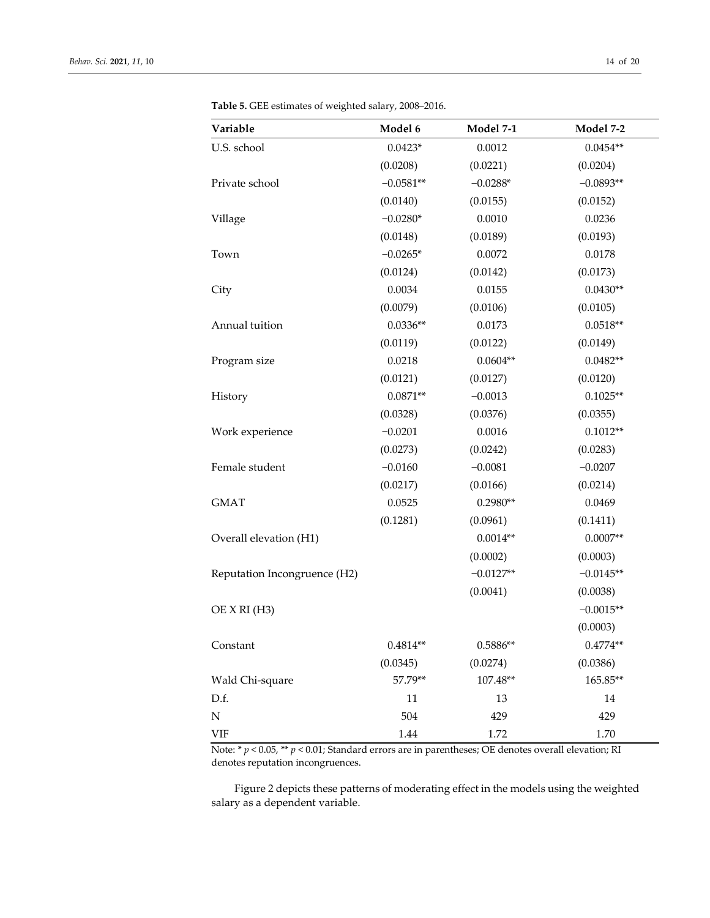| Variable                     | Model 6     | Model 7-1   | Model 7-2   |
|------------------------------|-------------|-------------|-------------|
| U.S. school                  | $0.0423*$   | 0.0012      | $0.0454**$  |
|                              | (0.0208)    | (0.0221)    | (0.0204)    |
| Private school               | $-0.0581**$ | $-0.0288*$  | $-0.0893**$ |
|                              | (0.0140)    | (0.0155)    | (0.0152)    |
| Village                      | $-0.0280*$  | 0.0010      | 0.0236      |
|                              | (0.0148)    | (0.0189)    | (0.0193)    |
| Town                         | $-0.0265*$  | 0.0072      | 0.0178      |
|                              | (0.0124)    | (0.0142)    | (0.0173)    |
| City                         | 0.0034      | 0.0155      | $0.0430**$  |
|                              | (0.0079)    | (0.0106)    | (0.0105)    |
| Annual tuition               | $0.0336**$  | 0.0173      | $0.0518**$  |
|                              | (0.0119)    | (0.0122)    | (0.0149)    |
| Program size                 | 0.0218      | $0.0604**$  | $0.0482**$  |
|                              | (0.0121)    | (0.0127)    | (0.0120)    |
| History                      | $0.0871**$  | $-0.0013$   | $0.1025**$  |
|                              | (0.0328)    | (0.0376)    | (0.0355)    |
| Work experience              | $-0.0201$   | 0.0016      | $0.1012**$  |
|                              | (0.0273)    | (0.0242)    | (0.0283)    |
| Female student               | $-0.0160$   | $-0.0081$   | $-0.0207$   |
|                              | (0.0217)    | (0.0166)    | (0.0214)    |
| <b>GMAT</b>                  | 0.0525      | $0.2980**$  | 0.0469      |
|                              | (0.1281)    | (0.0961)    | (0.1411)    |
| Overall elevation (H1)       |             | $0.0014**$  | $0.0007**$  |
|                              |             | (0.0002)    | (0.0003)    |
| Reputation Incongruence (H2) |             | $-0.0127**$ | $-0.0145**$ |
|                              |             | (0.0041)    | (0.0038)    |
| OE X RI (H3)                 |             |             | $-0.0015**$ |
|                              |             |             | (0.0003)    |
| Constant                     | $0.4814**$  | $0.5886**$  | $0.4774**$  |
|                              | (0.0345)    | (0.0274)    | (0.0386)    |
| Wald Chi-square              | 57.79**     | 107.48**    | 165.85**    |
| D.f.                         | 11          | 13          | 14          |
| ${\bf N}$                    | 504         | 429         | 429         |
| <b>VIF</b>                   | 1.44        | 1.72        | 1.70        |

**Table 5.** GEE estimates of weighted salary, 2008–2016.

Note: \* *p* < 0.05, \*\* *p* < 0.01; Standard errors are in parentheses; OE denotes overall elevation; RI denotes reputation incongruences.

Figure 2 depicts these patterns of moderating effect in the models using the weighted salary as a dependent variable.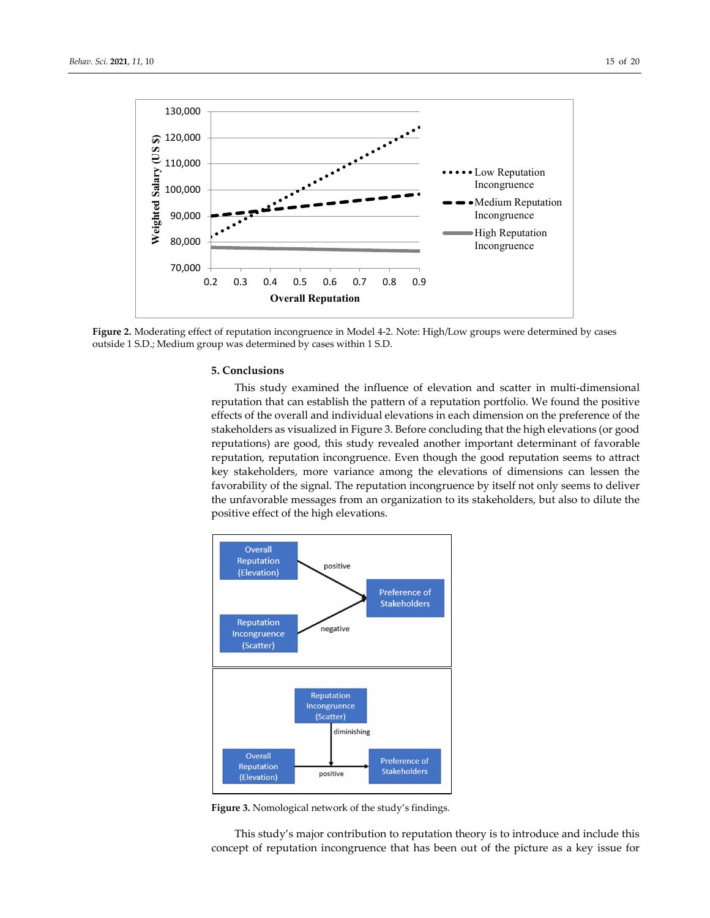

**Figure 2.** Moderating effect of reputation incongruence in Model 4-2. Note: High/Low groups were determined by cases outside 1 S.D.; Medium group was determined by cases within 1 S.D.

## **5. Conclusions**

This study examined the influence of elevation and scatter in multi-dimensional reputation that can establish the pattern of a reputation portfolio. We found the positive effects of the overall and individual elevations in each dimension on the preference of the stakeholders as visualized in Figure 3. Before concluding that the high elevations (or good reputations) are good, this study revealed another important determinant of favorable reputation, reputation incongruence. Even though the good reputation seems to attract key stakeholders, more variance among the elevations of dimensions can lessen the favorability of the signal. The reputation incongruence by itself not only seems to deliver the unfavorable messages from an organization to its stakeholders, but also to dilute the positive effect of the high elevations.



**Figure 3.** Nomological network of the study's findings.

This study's major contribution to reputation theory is to introduce and include this concept of reputation incongruence that has been out of the picture as a key issue for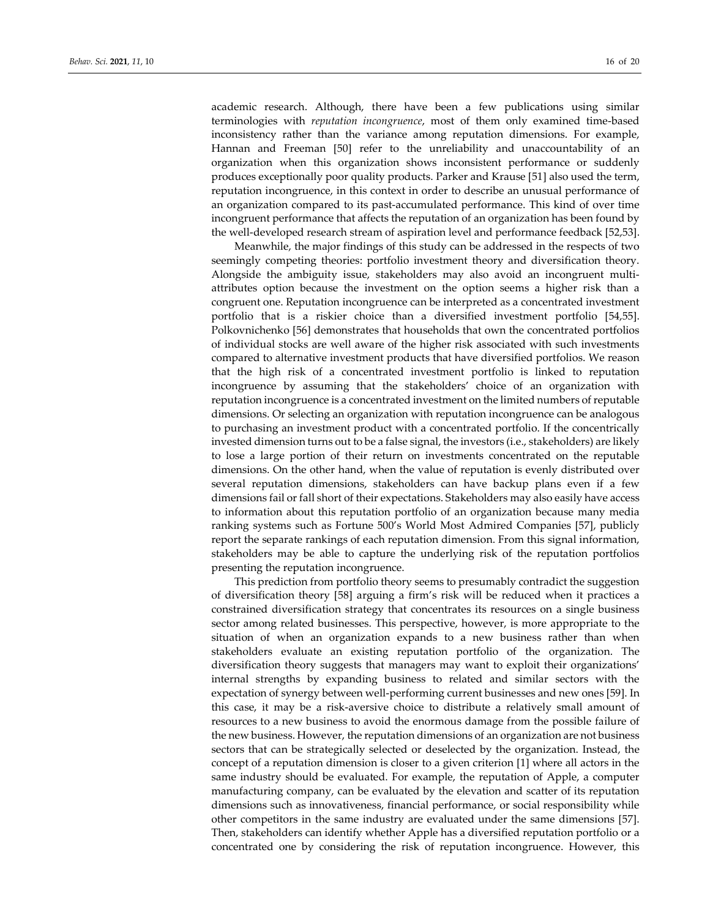academic research. Although, there have been a few publications using similar terminologies with *reputation incongruence*, most of them only examined time-based inconsistency rather than the variance among reputation dimensions. For example, Hannan and Freeman [50] refer to the unreliability and unaccountability of an organization when this organization shows inconsistent performance or suddenly produces exceptionally poor quality products. Parker and Krause [51] also used the term, reputation incongruence, in this context in order to describe an unusual performance of an organization compared to its past-accumulated performance. This kind of over time incongruent performance that affects the reputation of an organization has been found by the well-developed research stream of aspiration level and performance feedback [52,53].

Meanwhile, the major findings of this study can be addressed in the respects of two seemingly competing theories: portfolio investment theory and diversification theory. Alongside the ambiguity issue, stakeholders may also avoid an incongruent multiattributes option because the investment on the option seems a higher risk than a congruent one. Reputation incongruence can be interpreted as a concentrated investment portfolio that is a riskier choice than a diversified investment portfolio [54,55]. Polkovnichenko [56] demonstrates that households that own the concentrated portfolios of individual stocks are well aware of the higher risk associated with such investments compared to alternative investment products that have diversified portfolios. We reason that the high risk of a concentrated investment portfolio is linked to reputation incongruence by assuming that the stakeholders' choice of an organization with reputation incongruence is a concentrated investment on the limited numbers of reputable dimensions. Or selecting an organization with reputation incongruence can be analogous to purchasing an investment product with a concentrated portfolio. If the concentrically invested dimension turns out to be a false signal, the investors (i.e., stakeholders) are likely to lose a large portion of their return on investments concentrated on the reputable dimensions. On the other hand, when the value of reputation is evenly distributed over several reputation dimensions, stakeholders can have backup plans even if a few dimensions fail or fall short of their expectations. Stakeholders may also easily have access to information about this reputation portfolio of an organization because many media ranking systems such as Fortune 500's World Most Admired Companies [57], publicly report the separate rankings of each reputation dimension. From this signal information, stakeholders may be able to capture the underlying risk of the reputation portfolios presenting the reputation incongruence.

This prediction from portfolio theory seems to presumably contradict the suggestion of diversification theory [58] arguing a firm's risk will be reduced when it practices a constrained diversification strategy that concentrates its resources on a single business sector among related businesses. This perspective, however, is more appropriate to the situation of when an organization expands to a new business rather than when stakeholders evaluate an existing reputation portfolio of the organization. The diversification theory suggests that managers may want to exploit their organizations' internal strengths by expanding business to related and similar sectors with the expectation of synergy between well-performing current businesses and new ones [59]. In this case, it may be a risk-aversive choice to distribute a relatively small amount of resources to a new business to avoid the enormous damage from the possible failure of the new business. However, the reputation dimensions of an organization are not business sectors that can be strategically selected or deselected by the organization. Instead, the concept of a reputation dimension is closer to a given criterion [1] where all actors in the same industry should be evaluated. For example, the reputation of Apple, a computer manufacturing company, can be evaluated by the elevation and scatter of its reputation dimensions such as innovativeness, financial performance, or social responsibility while other competitors in the same industry are evaluated under the same dimensions [57]. Then, stakeholders can identify whether Apple has a diversified reputation portfolio or a concentrated one by considering the risk of reputation incongruence. However, this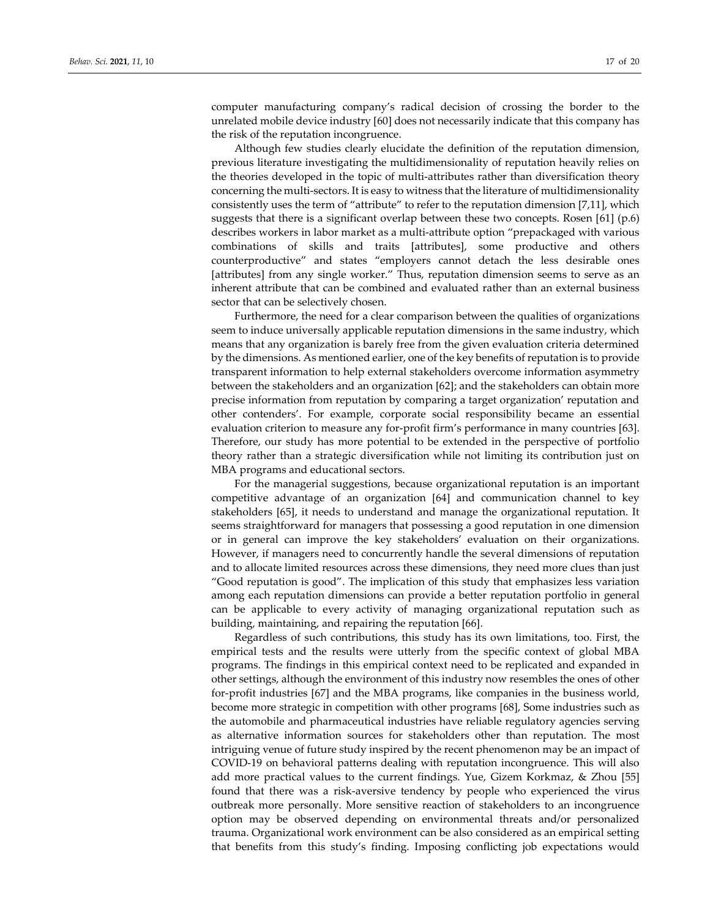computer manufacturing company's radical decision of crossing the border to the unrelated mobile device industry [60] does not necessarily indicate that this company has the risk of the reputation incongruence.

Although few studies clearly elucidate the definition of the reputation dimension, previous literature investigating the multidimensionality of reputation heavily relies on the theories developed in the topic of multi-attributes rather than diversification theory concerning the multi-sectors. It is easy to witness that the literature of multidimensionality consistently uses the term of "attribute" to refer to the reputation dimension [7,11], which suggests that there is a significant overlap between these two concepts. Rosen  $[61]$  (p.6) describes workers in labor market as a multi-attribute option "prepackaged with various combinations of skills and traits [attributes], some productive and others counterproductive" and states "employers cannot detach the less desirable ones [attributes] from any single worker." Thus, reputation dimension seems to serve as an inherent attribute that can be combined and evaluated rather than an external business sector that can be selectively chosen.

Furthermore, the need for a clear comparison between the qualities of organizations seem to induce universally applicable reputation dimensions in the same industry, which means that any organization is barely free from the given evaluation criteria determined by the dimensions. As mentioned earlier, one of the key benefits of reputation is to provide transparent information to help external stakeholders overcome information asymmetry between the stakeholders and an organization [62]; and the stakeholders can obtain more precise information from reputation by comparing a target organization' reputation and other contenders'. For example, corporate social responsibility became an essential evaluation criterion to measure any for-profit firm's performance in many countries [63]. Therefore, our study has more potential to be extended in the perspective of portfolio theory rather than a strategic diversification while not limiting its contribution just on MBA programs and educational sectors.

For the managerial suggestions, because organizational reputation is an important competitive advantage of an organization [64] and communication channel to key stakeholders [65], it needs to understand and manage the organizational reputation. It seems straightforward for managers that possessing a good reputation in one dimension or in general can improve the key stakeholders' evaluation on their organizations. However, if managers need to concurrently handle the several dimensions of reputation and to allocate limited resources across these dimensions, they need more clues than just "Good reputation is good". The implication of this study that emphasizes less variation among each reputation dimensions can provide a better reputation portfolio in general can be applicable to every activity of managing organizational reputation such as building, maintaining, and repairing the reputation [66].

Regardless of such contributions, this study has its own limitations, too. First, the empirical tests and the results were utterly from the specific context of global MBA programs. The findings in this empirical context need to be replicated and expanded in other settings, although the environment of this industry now resembles the ones of other for-profit industries [67] and the MBA programs, like companies in the business world, become more strategic in competition with other programs [68], Some industries such as the automobile and pharmaceutical industries have reliable regulatory agencies serving as alternative information sources for stakeholders other than reputation. The most intriguing venue of future study inspired by the recent phenomenon may be an impact of COVID-19 on behavioral patterns dealing with reputation incongruence. This will also add more practical values to the current findings. Yue, Gizem Korkmaz, & Zhou [55] found that there was a risk-aversive tendency by people who experienced the virus outbreak more personally. More sensitive reaction of stakeholders to an incongruence option may be observed depending on environmental threats and/or personalized trauma. Organizational work environment can be also considered as an empirical setting that benefits from this study's finding. Imposing conflicting job expectations would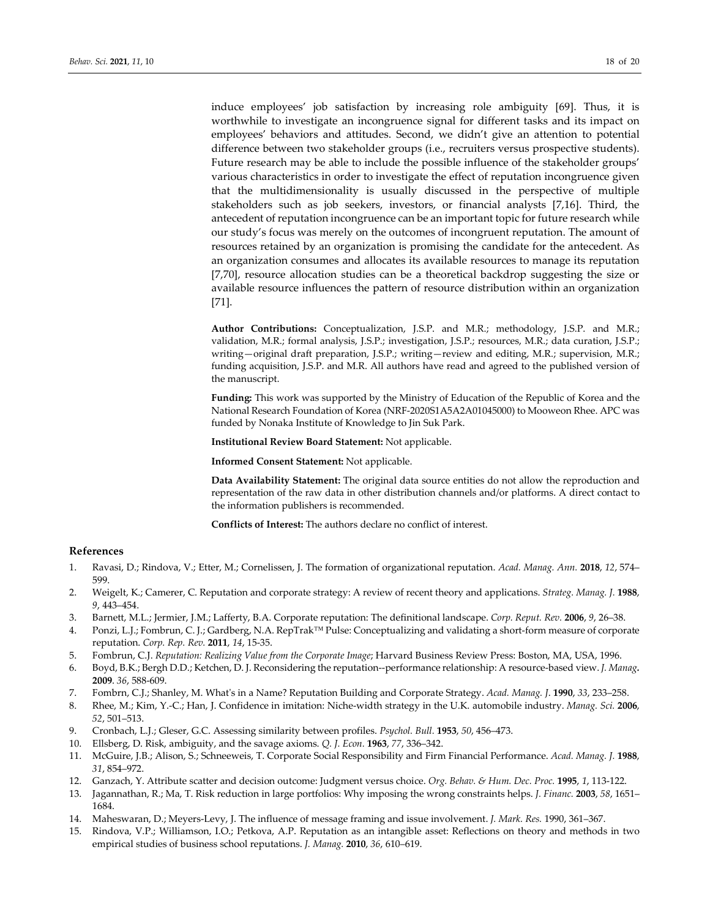induce employees' job satisfaction by increasing role ambiguity [69]. Thus, it is worthwhile to investigate an incongruence signal for different tasks and its impact on employees' behaviors and attitudes. Second, we didn't give an attention to potential difference between two stakeholder groups (i.e., recruiters versus prospective students). Future research may be able to include the possible influence of the stakeholder groups' various characteristics in order to investigate the effect of reputation incongruence given that the multidimensionality is usually discussed in the perspective of multiple stakeholders such as job seekers, investors, or financial analysts [7,16]. Third, the antecedent of reputation incongruence can be an important topic for future research while our study's focus was merely on the outcomes of incongruent reputation. The amount of resources retained by an organization is promising the candidate for the antecedent. As an organization consumes and allocates its available resources to manage its reputation [7,70], resource allocation studies can be a theoretical backdrop suggesting the size or available resource influences the pattern of resource distribution within an organization [71].

**Author Contributions:** Conceptualization, J.S.P. and M.R.; methodology, J.S.P. and M.R.; validation, M.R.; formal analysis, J.S.P.; investigation, J.S.P.; resources, M.R.; data curation, J.S.P.; writing—original draft preparation, J.S.P.; writing—review and editing, M.R.; supervision, M.R.; funding acquisition, J.S.P. and M.R. All authors have read and agreed to the published version of the manuscript.

**Funding:** This work was supported by the Ministry of Education of the Republic of Korea and the National Research Foundation of Korea (NRF-2020S1A5A2A01045000) to Mooweon Rhee. APC was funded by Nonaka Institute of Knowledge to Jin Suk Park.

**Institutional Review Board Statement:** Not applicable.

**Informed Consent Statement:** Not applicable.

**Data Availability Statement:** The original data source entities do not allow the reproduction and representation of the raw data in other distribution channels and/or platforms. A direct contact to the information publishers is recommended.

**Conflicts of Interest:** The authors declare no conflict of interest.

### **References**

- 1. Ravasi, D.; Rindova, V.; Etter, M.; Cornelissen, J. The formation of organizational reputation. *Acad. Manag. Ann.* **2018**, *12*, 574– 599.
- 2. Weigelt, K.; Camerer, C. Reputation and corporate strategy: A review of recent theory and applications. *Strateg. Manag. J.* **1988**, *9*, 443–454.
- 3. Barnett, M.L.; Jermier, J.M.; Lafferty, B.A. Corporate reputation: The definitional landscape. *Corp. Reput. Rev.* **2006**, *9*, 26–38.
- 4. Ponzi, L.J.; Fombrun, C. J.; Gardberg, N.A. RepTrak™ Pulse: Conceptualizing and validating a short-form measure of corporate reputation. *Corp. Rep. Rev.* **2011**, *14*, 15-35.
- 5. Fombrun, C.J. *Reputation: Realizing Value from the Corporate Image*; Harvard Business Review Press: Boston, MA, USA, 1996.
- 6. Boyd, B.K.; Bergh D.D.; Ketchen, D. J. Reconsidering the reputation--performance relationship: A resource-based view. *J. Manag.* **2009**. *36*, 588-609.
- 7. Fombrn, C.J.; Shanley, M. What's in a Name? Reputation Building and Corporate Strategy. *Acad. Manag. J*. **1990**, *33*, 233–258.
- 8. Rhee, M.; Kim, Y.-C.; Han, J. Confidence in imitation: Niche-width strategy in the U.K. automobile industry. *Manag. Sci.* **2006**, *52*, 501–513.
- 9. Cronbach, L.J.; Gleser, G.C. Assessing similarity between profiles. *Psychol. Bull.* **1953**, *50*, 456–473.
- 10. Ellsberg, D. Risk, ambiguity, and the savage axioms. *Q. J. Econ.* **1963**, *77*, 336–342.
- 11. McGuire, J.B.; Alison, S.; Schneeweis, T. Corporate Social Responsibility and Firm Financial Performance. *Acad. Manag. J.* **1988**, *31*, 854–972.
- 12. Ganzach, Y. Attribute scatter and decision outcome: Judgment versus choice. *Org. Behav. & Hum. Dec. Proc.* **1995**, *1*, 113-122.
- 13. Jagannathan, R.; Ma, T. Risk reduction in large portfolios: Why imposing the wrong constraints helps. *J. Financ.* **2003**, *58*, 1651– 1684.
- 14. Maheswaran, D.; Meyers-Levy, J. The influence of message framing and issue involvement. *J. Mark. Res.* 1990, 361–367.
- 15. Rindova, V.P.; Williamson, I.O.; Petkova, A.P. Reputation as an intangible asset: Reflections on theory and methods in two empirical studies of business school reputations. *J. Manag.* **2010**, *36*, 610–619.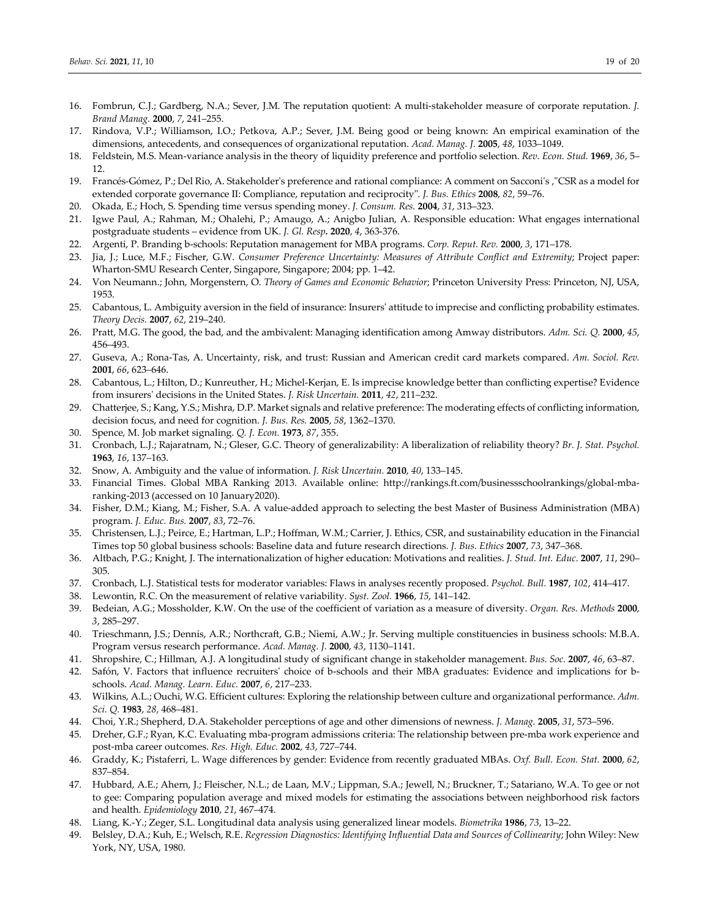- 16. Fombrun, C.J.; Gardberg, N.A.; Sever, J.M. The reputation quotient: A multi-stakeholder measure of corporate reputation. *J. Brand Manag.* **2000**, *7*, 241–255.
- 17. Rindova, V.P.; Williamson, I.O.; Petkova, A.P.; Sever, J.M. Being good or being known: An empirical examination of the dimensions, antecedents, and consequences of organizational reputation. *Acad. Manag. J.* **2005**, *48*, 1033–1049.
- 18. Feldstein, M.S. Mean-variance analysis in the theory of liquidity preference and portfolio selection. *Rev. Econ. Stud.* **1969**, *36*, 5– 12.
- 19. Francés-Gómez, P.; Del Rio, A. Stakeholder's preference and rational compliance: A comment on Sacconi's '"CSR as a model for extended corporate governance II: Compliance, reputation and reciprocity". *J. Bus. Ethics* **2008**, *82*, 59–76.
- 20. Okada, E.; Hoch, S. Spending time versus spending money. *J. Consum. Res.* **2004**, *31*, 313–323.
- 21. Igwe Paul, A.; Rahman, M.; Ohalehi, P.; Amaugo, A.; Anigbo Julian, A. Responsible education: What engages international postgraduate students – evidence from UK. *J. Gl. Resp.* **2020**, *4*, 363-376.
- 22. Argenti, P. Branding b-schools: Reputation management for MBA programs. *Corp. Reput. Rev.* **2000**, *3*, 171–178.
- 23. Jia, J.; Luce, M.F.; Fischer, G.W. *Consumer Preference Uncertainty: Measures of Attribute Conflict and Extremity*; Project paper: Wharton-SMU Research Center, Singapore, Singapore; 2004; pp. 1–42.
- 24. Von Neumann.; John, Morgenstern, O. *Theory of Games and Economic Behavior*; Princeton University Press: Princeton, NJ, USA, 1953.
- 25. Cabantous, L. Ambiguity aversion in the field of insurance: Insurers' attitude to imprecise and conflicting probability estimates. *Theory Decis.* **2007**, *62*, 219–240.
- 26. Pratt, M.G. The good, the bad, and the ambivalent: Managing identification among Amway distributors. *Adm. Sci. Q.* **2000**, *45*, 456–493.
- 27. Guseva, A.; Rona-Tas, A. Uncertainty, risk, and trust: Russian and American credit card markets compared. *Am. Sociol. Rev.*  **2001**, *66*, 623–646.
- 28. Cabantous, L.; Hilton, D.; Kunreuther, H.; Michel-Kerjan, E. Is imprecise knowledge better than conflicting expertise? Evidence from insurers' decisions in the United States. *J. Risk Uncertain.* **2011**, *42*, 211–232.
- 29. Chatterjee, S.; Kang, Y.S.; Mishra, D.P. Market signals and relative preference: The moderating effects of conflicting information, decision focus, and need for cognition. *J. Bus. Res.* **2005**, *58*, 1362–1370.
- 30. Spence, M. Job market signaling. *Q. J. Econ.* **1973**, *87*, 355.
- 31. Cronbach, L.J.; Rajaratnam, N.; Gleser, G.C. Theory of generalizability: A liberalization of reliability theory? *Br. J. Stat. Psychol.*  **1963**, *16*, 137–163.
- 32. Snow, A. Ambiguity and the value of information. *J. Risk Uncertain.* **2010**, *40*, 133–145.
- 33. Financial Times. Global MBA Ranking 2013. Available online: http://rankings.ft.com/businessschoolrankings/global-mbaranking-2013 (accessed on 10 January2020).
- 34. Fisher, D.M.; Kiang, M.; Fisher, S.A. A value-added approach to selecting the best Master of Business Administration (MBA) program. *J. Educ. Bus.* **2007**, *83*, 72–76.
- 35. Christensen, L.J.; Peirce, E.; Hartman, L.P.; Hoffman, W.M.; Carrier, J. Ethics, CSR, and sustainability education in the Financial Times top 50 global business schools: Baseline data and future research directions. *J. Bus. Ethics* **2007**, *73*, 347–368.
- 36. Altbach, P.G.; Knight, J. The internationalization of higher education: Motivations and realities. *J. Stud. Int. Educ.* **2007**, *11*, 290– 305.
- 37. Cronbach, L.J. Statistical tests for moderator variables: Flaws in analyses recently proposed. *Psychol. Bull.* **1987**, *102*, 414–417.
- 38. Lewontin, R.C. On the measurement of relative variability. *Syst. Zool.* **1966**, *15*, 141–142.
- 39. Bedeian, A.G.; Mossholder, K.W. On the use of the coefficient of variation as a measure of diversity. *Organ. Res. Methods* **2000**, *3*, 285–297.
- 40. Trieschmann, J.S.; Dennis, A.R.; Northcraft, G.B.; Niemi, A.W.; Jr. Serving multiple constituencies in business schools: M.B.A. Program versus research performance. *Acad. Manag. J.* **2000**, *43*, 1130–1141.
- 41. Shropshire, C.; Hillman, A.J. A longitudinal study of significant change in stakeholder management. *Bus. Soc.* **2007**, *46*, 63–87.
- 42. Safón, V. Factors that influence recruiters' choice of b-schools and their MBA graduates: Evidence and implications for bschools. *Acad. Manag. Learn. Educ.* **2007**, *6*, 217–233.
- 43. Wilkins, A.L.; Ouchi, W.G. Efficient cultures: Exploring the relationship between culture and organizational performance. *Adm. Sci. Q.* **1983**, *28*, 468–481.
- 44. Choi, Y.R.; Shepherd, D.A. Stakeholder perceptions of age and other dimensions of newness. *J. Manag.* **2005**, *31*, 573–596.
- 45. Dreher, G.F.; Ryan, K.C. Evaluating mba-program admissions criteria: The relationship between pre-mba work experience and post-mba career outcomes. *Res. High. Educ.* **2002**, *43*, 727–744.
- 46. Graddy, K.; Pistaferri, L. Wage differences by gender: Evidence from recently graduated MBAs. *Oxf. Bull. Econ. Stat.* **2000**, *62*, 837–854.
- 47. Hubbard, A.E.; Ahern, J.; Fleischer, N.L.; de Laan, M.V.; Lippman, S.A.; Jewell, N.; Bruckner, T.; Satariano, W.A. To gee or not to gee: Comparing population average and mixed models for estimating the associations between neighborhood risk factors and health. *Epidemiology* **2010**, *21*, 467–474.
- 48. Liang, K.-Y.; Zeger, S.L. Longitudinal data analysis using generalized linear models. *Biometrika* **1986**, *73*, 13–22.
- 49. Belsley, D.A.; Kuh, E.; Welsch, R.E. *Regression Diagnostics: Identifying Influential Data and Sources of Collinearity*; John Wiley: New York, NY, USA, 1980.